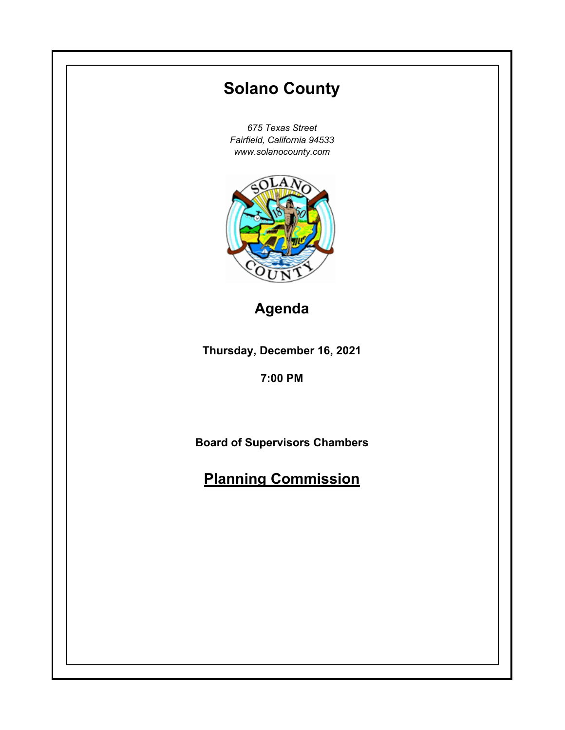# **Thursday, December 16, 2021 7:00 PM Solano County** *675 Texas Street Fairfield, California 94533 www.solanocounty.com* **Board of Supervisors Chambers Planning Commission Agenda**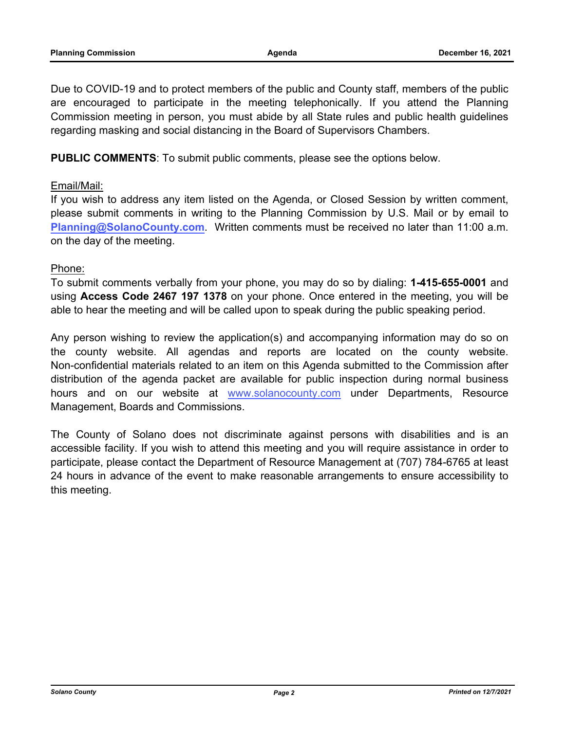Due to COVID-19 and to protect members of the public and County staff, members of the public are encouraged to participate in the meeting telephonically. If you attend the Planning Commission meeting in person, you must abide by all State rules and public health guidelines regarding masking and social distancing in the Board of Supervisors Chambers.

**PUBLIC COMMENTS**: To submit public comments, please see the options below.

### Email/Mail:

If you wish to address any item listed on the Agenda, or Closed Session by written comment, please submit comments in writing to the Planning Commission by U.S. Mail or by email to **Planning@SolanoCounty.com**. Written comments must be received no later than 11:00 a.m. on the day of the meeting.

### Phone:

To submit comments verbally from your phone, you may do so by dialing: **1-415-655-0001** and using **Access Code 2467 197 1378** on your phone. Once entered in the meeting, you will be able to hear the meeting and will be called upon to speak during the public speaking period.

Any person wishing to review the application(s) and accompanying information may do so on the county website. All agendas and reports are located on the county website. Non-confidential materials related to an item on this Agenda submitted to the Commission after distribution of the agenda packet are available for public inspection during normal business hours and on our website at [www.solanocounty.com](https://www.solanocounty.com/) under Departments, Resource Management, Boards and Commissions.

The County of Solano does not discriminate against persons with disabilities and is an accessible facility. If you wish to attend this meeting and you will require assistance in order to participate, please contact the Department of Resource Management at (707) 784-6765 at least 24 hours in advance of the event to make reasonable arrangements to ensure accessibility to this meeting.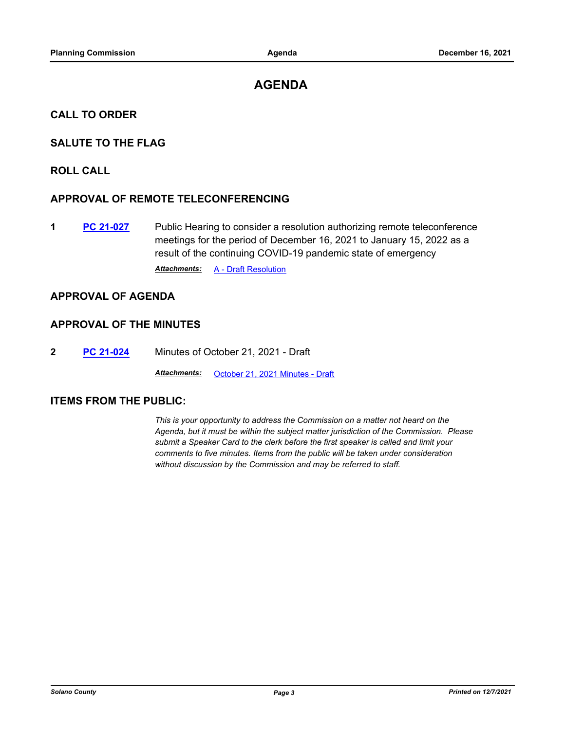## **AGENDA**

#### **CALL TO ORDER**

#### **SALUTE TO THE FLAG**

#### **ROLL CALL**

#### **APPROVAL OF REMOTE TELECONFERENCING**

**1 [PC 21-027](http://solano.legistar.com/gateway.aspx?m=l&id=/matter.aspx?key=16533)** Public Hearing to consider a resolution authorizing remote teleconference meetings for the period of December 16, 2021 to January 15, 2022 as a result of the continuing COVID-19 pandemic state of emergency

**Attachments: [A - Draft Resolution](http://solano.legistar.com/gateway.aspx?M=F&ID=e4f689af-f00b-4132-8633-d3524a4a21ff.pdf)** 

#### **APPROVAL OF AGENDA**

#### **APPROVAL OF THE MINUTES**

**2 [PC 21-024](http://solano.legistar.com/gateway.aspx?m=l&id=/matter.aspx?key=16530)** Minutes of October 21, 2021 - Draft

*Attachments:* [October 21, 2021 Minutes - Draft](http://solano.legistar.com/gateway.aspx?M=F&ID=e9d84626-8c0f-4a79-8c3a-117ad6d61fe6.pdf)

#### **ITEMS FROM THE PUBLIC:**

*This is your opportunity to address the Commission on a matter not heard on the Agenda, but it must be within the subject matter jurisdiction of the Commission. Please submit a Speaker Card to the clerk before the first speaker is called and limit your comments to five minutes. Items from the public will be taken under consideration without discussion by the Commission and may be referred to staff.*